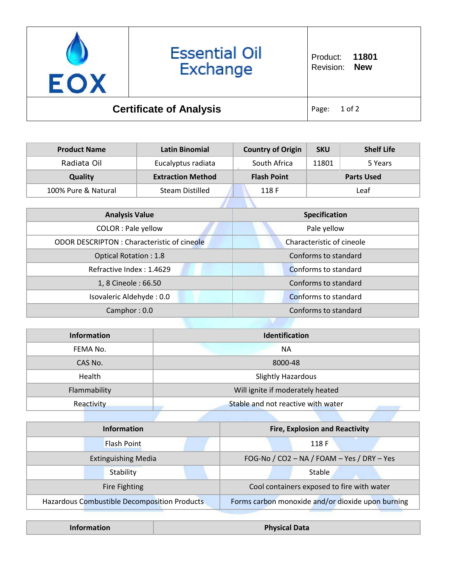

## **Essential Oil** Exchange

## **Certificate of Analysis** Page: 1 of 2

| <b>Product Name</b> | Latin Binomial           | <b>Country of Origin</b> | <b>SKU</b> | <b>Shelf Life</b> |
|---------------------|--------------------------|--------------------------|------------|-------------------|
| Radiata Oil         | Eucalyptus radiata       | South Africa             | 11801      | 5 Years           |
| Quality             | <b>Extraction Method</b> | <b>Flash Point</b>       |            | <b>Parts Used</b> |
| 100% Pure & Natural | <b>Steam Distilled</b>   | 118 F                    |            | Leaf              |
|                     |                          |                          |            |                   |

| <b>Analysis Value</b>                              | Specification             |
|----------------------------------------------------|---------------------------|
| <b>COLOR: Pale yellow</b>                          | Pale yellow               |
| <b>ODOR DESCRIPTON : Characteristic of cineole</b> | Characteristic of cineole |
| <b>Optical Rotation: 1.8</b>                       | Conforms to standard      |
| Refractive Index: 1.4629                           | Conforms to standard      |
| 1, 8 Cineole: 66.50                                | Conforms to standard      |
| Isovaleric Aldehyde: 0.0                           | Conforms to standard      |
| Camphor: 0.0                                       | Conforms to standard      |

| Information  | <b>Identification</b>              |  |
|--------------|------------------------------------|--|
| FEMA No.     | <b>NA</b>                          |  |
| CAS No.      | 8000-48                            |  |
| Health       | <b>Slightly Hazardous</b>          |  |
| Flammability | Will ignite if moderately heated   |  |
| Reactivity   | Stable and not reactive with water |  |

| <b>Information</b>                           | <b>Fire, Explosion and Reactivity</b>             |
|----------------------------------------------|---------------------------------------------------|
| <b>Flash Point</b>                           | 118 F                                             |
| <b>Extinguishing Media</b>                   | FOG-No / CO2 - NA / FOAM - Yes / DRY - Yes        |
| Stability                                    | Stable                                            |
| Fire Fighting                                | Cool containers exposed to fire with water        |
| Hazardous Combustible Decomposition Products | Forms carbon monoxide and/or dioxide upon burning |

| <b>Information</b> | <b>Physical Data</b> |
|--------------------|----------------------|
|--------------------|----------------------|